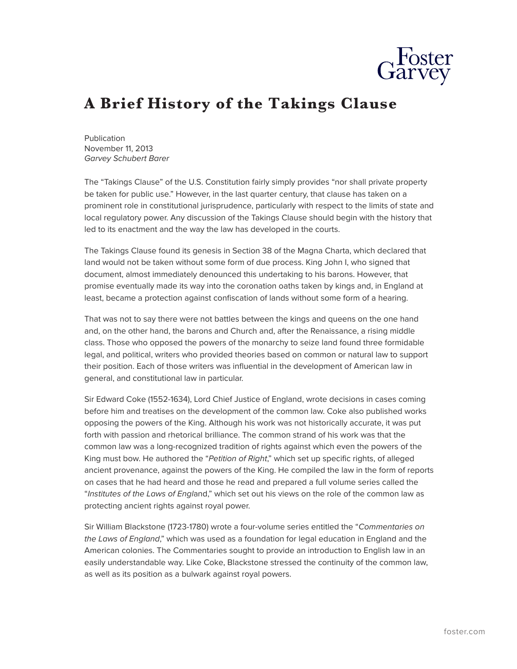

## **A Brief History of the Takings Clause**

Publication November 11, 2013 *Garvey Schubert Barer*

The "Takings Clause" of the U.S. Constitution fairly simply provides "nor shall private property be taken for public use." However, in the last quarter century, that clause has taken on a prominent role in constitutional jurisprudence, particularly with respect to the limits of state and local regulatory power. Any discussion of the Takings Clause should begin with the history that led to its enactment and the way the law has developed in the courts.

The Takings Clause found its genesis in Section 38 of the Magna Charta, which declared that land would not be taken without some form of due process. King John I, who signed that document, almost immediately denounced this undertaking to his barons. However, that promise eventually made its way into the coronation oaths taken by kings and, in England at least, became a protection against confiscation of lands without some form of a hearing.

That was not to say there were not battles between the kings and queens on the one hand and, on the other hand, the barons and Church and, after the Renaissance, a rising middle class. Those who opposed the powers of the monarchy to seize land found three formidable legal, and political, writers who provided theories based on common or natural law to support their position. Each of those writers was influential in the development of American law in general, and constitutional law in particular.

Sir Edward Coke (1552-1634), Lord Chief Justice of England, wrote decisions in cases coming before him and treatises on the development of the common law. Coke also published works opposing the powers of the King. Although his work was not historically accurate, it was put forth with passion and rhetorical brilliance. The common strand of his work was that the common law was a long-recognized tradition of rights against which even the powers of the King must bow. He authored the "*Petition of Right*," which set up specific rights, of alleged ancient provenance, against the powers of the King. He compiled the law in the form of reports on cases that he had heard and those he read and prepared a full volume series called the "*Institutes of the Laws of Engl*and," which set out his views on the role of the common law as protecting ancient rights against royal power.

Sir William Blackstone (1723-1780) wrote a four-volume series entitled the "*Commentaries on the Laws of England*," which was used as a foundation for legal education in England and the American colonies. The Commentaries sought to provide an introduction to English law in an easily understandable way. Like Coke, Blackstone stressed the continuity of the common law, as well as its position as a bulwark against royal powers.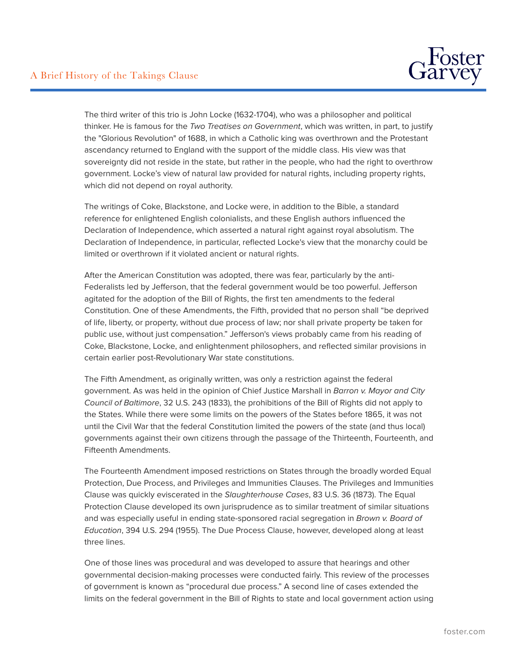

The third writer of this trio is John Locke (1632-1704), who was a philosopher and political thinker. He is famous for the *Two Treatises on Government*, which was written, in part, to justify the "Glorious Revolution" of 1688, in which a Catholic king was overthrown and the Protestant ascendancy returned to England with the support of the middle class. His view was that sovereignty did not reside in the state, but rather in the people, who had the right to overthrow government. Locke's view of natural law provided for natural rights, including property rights, which did not depend on royal authority.

The writings of Coke, Blackstone, and Locke were, in addition to the Bible, a standard reference for enlightened English colonialists, and these English authors influenced the Declaration of Independence, which asserted a natural right against royal absolutism. The Declaration of Independence, in particular, reflected Locke's view that the monarchy could be limited or overthrown if it violated ancient or natural rights.

After the American Constitution was adopted, there was fear, particularly by the anti-Federalists led by Jefferson, that the federal government would be too powerful. Jefferson agitated for the adoption of the Bill of Rights, the first ten amendments to the federal Constitution. One of these Amendments, the Fifth, provided that no person shall "be deprived of life, liberty, or property, without due process of law; nor shall private property be taken for public use, without just compensation." Jefferson's views probably came from his reading of Coke, Blackstone, Locke, and enlightenment philosophers, and reflected similar provisions in certain earlier post-Revolutionary War state constitutions.

The Fifth Amendment, as originally written, was only a restriction against the federal government. As was held in the opinion of Chief Justice Marshall in *Barron v. Mayor and City Council of Baltimore*, 32 U.S. 243 (1833), the prohibitions of the Bill of Rights did not apply to the States. While there were some limits on the powers of the States before 1865, it was not until the Civil War that the federal Constitution limited the powers of the state (and thus local) governments against their own citizens through the passage of the Thirteenth, Fourteenth, and Fifteenth Amendments.

The Fourteenth Amendment imposed restrictions on States through the broadly worded Equal Protection, Due Process, and Privileges and Immunities Clauses. The Privileges and Immunities Clause was quickly eviscerated in the *Slaughterhouse Cases*, 83 U.S. 36 (1873). The Equal Protection Clause developed its own jurisprudence as to similar treatment of similar situations and was especially useful in ending state-sponsored racial segregation in *Brown v. Board of Education*, 394 U.S. 294 (1955). The Due Process Clause, however, developed along at least three lines.

One of those lines was procedural and was developed to assure that hearings and other governmental decision-making processes were conducted fairly. This review of the processes of government is known as "procedural due process." A second line of cases extended the limits on the federal government in the Bill of Rights to state and local government action using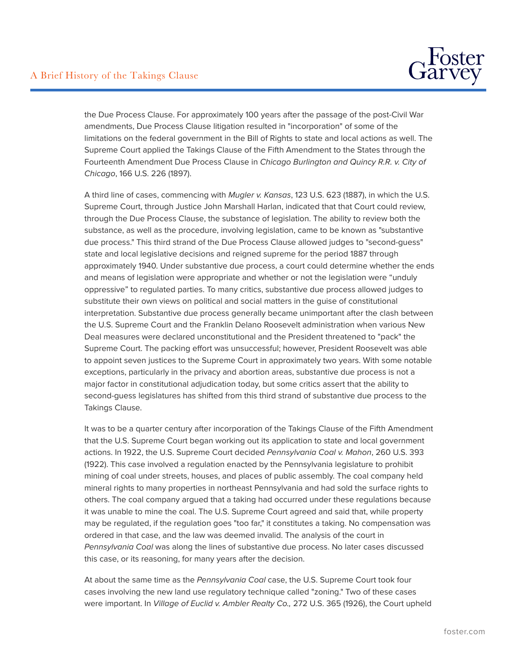

the Due Process Clause. For approximately 100 years after the passage of the post-Civil War amendments, Due Process Clause litigation resulted in "incorporation" of some of the limitations on the federal government in the Bill of Rights to state and local actions as well. The Supreme Court applied the Takings Clause of the Fifth Amendment to the States through the Fourteenth Amendment Due Process Clause in *Chicago Burlington and Quincy R.R. v. City of Chicago*, 166 U.S. 226 (1897).

A third line of cases, commencing with *Mugler v. Kansas*, 123 U.S. 623 (1887), in which the U.S. Supreme Court, through Justice John Marshall Harlan, indicated that that Court could review, through the Due Process Clause, the substance of legislation. The ability to review both the substance, as well as the procedure, involving legislation, came to be known as "substantive due process." This third strand of the Due Process Clause allowed judges to "second-guess" state and local legislative decisions and reigned supreme for the period 1887 through approximately 1940. Under substantive due process, a court could determine whether the ends and means of legislation were appropriate and whether or not the legislation were "unduly oppressive" to regulated parties. To many critics, substantive due process allowed judges to substitute their own views on political and social matters in the guise of constitutional interpretation. Substantive due process generally became unimportant after the clash between the U.S. Supreme Court and the Franklin Delano Roosevelt administration when various New Deal measures were declared unconstitutional and the President threatened to "pack" the Supreme Court. The packing effort was unsuccessful; however, President Roosevelt was able to appoint seven justices to the Supreme Court in approximately two years. With some notable exceptions, particularly in the privacy and abortion areas, substantive due process is not a major factor in constitutional adjudication today, but some critics assert that the ability to second-guess legislatures has shifted from this third strand of substantive due process to the Takings Clause.

It was to be a quarter century after incorporation of the Takings Clause of the Fifth Amendment that the U.S. Supreme Court began working out its application to state and local government actions. In 1922, the U.S. Supreme Court decided *Pennsylvania Coal v. Mahon*, 260 U.S. 393 (1922). This case involved a regulation enacted by the Pennsylvania legislature to prohibit mining of coal under streets, houses, and places of public assembly. The coal company held mineral rights to many properties in northeast Pennsylvania and had sold the surface rights to others. The coal company argued that a taking had occurred under these regulations because it was unable to mine the coal. The U.S. Supreme Court agreed and said that, while property may be regulated, if the regulation goes "too far," it constitutes a taking. No compensation was ordered in that case, and the law was deemed invalid. The analysis of the court in *Pennsylvania Coal* was along the lines of substantive due process. No later cases discussed this case, or its reasoning, for many years after the decision.

At about the same time as the *Pennsylvania Coal* case, the U.S. Supreme Court took four cases involving the new land use regulatory technique called "zoning." Two of these cases were important. In *Village of Euclid v. Ambler Realty Co.,* 272 U.S. 365 (1926), the Court upheld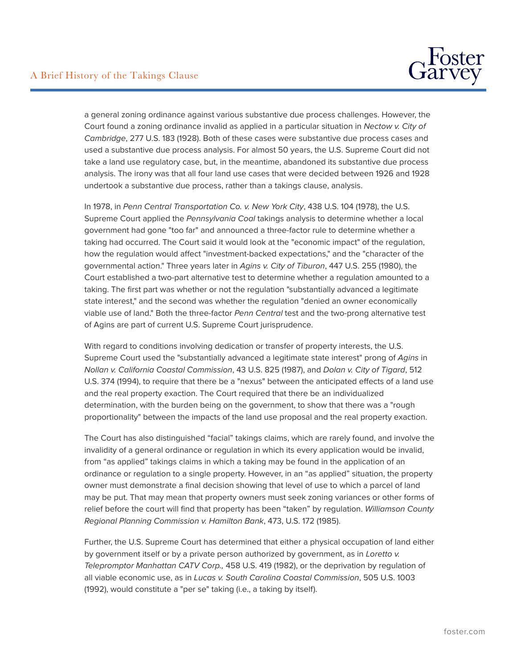

a general zoning ordinance against various substantive due process challenges. However, the Court found a zoning ordinance invalid as applied in a particular situation in *Nectow v. City of Cambridge*, 277 U.S. 183 (1928). Both of these cases were substantive due process cases and used a substantive due process analysis. For almost 50 years, the U.S. Supreme Court did not take a land use regulatory case, but, in the meantime, abandoned its substantive due process analysis. The irony was that all four land use cases that were decided between 1926 and 1928 undertook a substantive due process, rather than a takings clause, analysis.

In 1978, in *Penn Central Transportation Co. v. New York City*, 438 U.S. 104 (1978), the U.S. Supreme Court applied the *Pennsylvania Coal* takings analysis to determine whether a local government had gone "too far" and announced a three-factor rule to determine whether a taking had occurred. The Court said it would look at the "economic impact" of the regulation, how the regulation would affect "investment-backed expectations," and the "character of the governmental action." Three years later in *Agins v. City of Tiburon*, 447 U.S. 255 (1980), the Court established a two-part alternative test to determine whether a regulation amounted to a taking. The first part was whether or not the regulation "substantially advanced a legitimate state interest," and the second was whether the regulation "denied an owner economically viable use of land." Both the three-factor *Penn Central* test and the two-prong alternative test of Agins are part of current U.S. Supreme Court jurisprudence.

With regard to conditions involving dedication or transfer of property interests, the U.S. Supreme Court used the "substantially advanced a legitimate state interest" prong of *Agins* in *Nollan v. California Coastal Commission*, 43 U.S. 825 (1987), and *Dolan v. City of Tigard*, 512 U.S. 374 (1994), to require that there be a "nexus" between the anticipated effects of a land use and the real property exaction. The Court required that there be an individualized determination, with the burden being on the government, to show that there was a "rough proportionality" between the impacts of the land use proposal and the real property exaction.

The Court has also distinguished "facial" takings claims, which are rarely found, and involve the invalidity of a general ordinance or regulation in which its every application would be invalid, from "as applied" takings claims in which a taking may be found in the application of an ordinance or regulation to a single property. However, in an "as applied" situation, the property owner must demonstrate a final decision showing that level of use to which a parcel of land may be put. That may mean that property owners must seek zoning variances or other forms of relief before the court will find that property has been "taken" by regulation. *Williamson County Regional Planning Commission v. Hamilton Bank*, 473, U.S. 172 (1985).

Further, the U.S. Supreme Court has determined that either a physical occupation of land either by government itself or by a private person authorized by government, as in *Loretto v. Telepromptor Manhattan CATV Corp.,* 458 U.S. 419 (1982), or the deprivation by regulation of all viable economic use, as in *Lucas v. South Carolina Coastal Commission*, 505 U.S. 1003 (1992), would constitute a "per se" taking (i.e., a taking by itself).